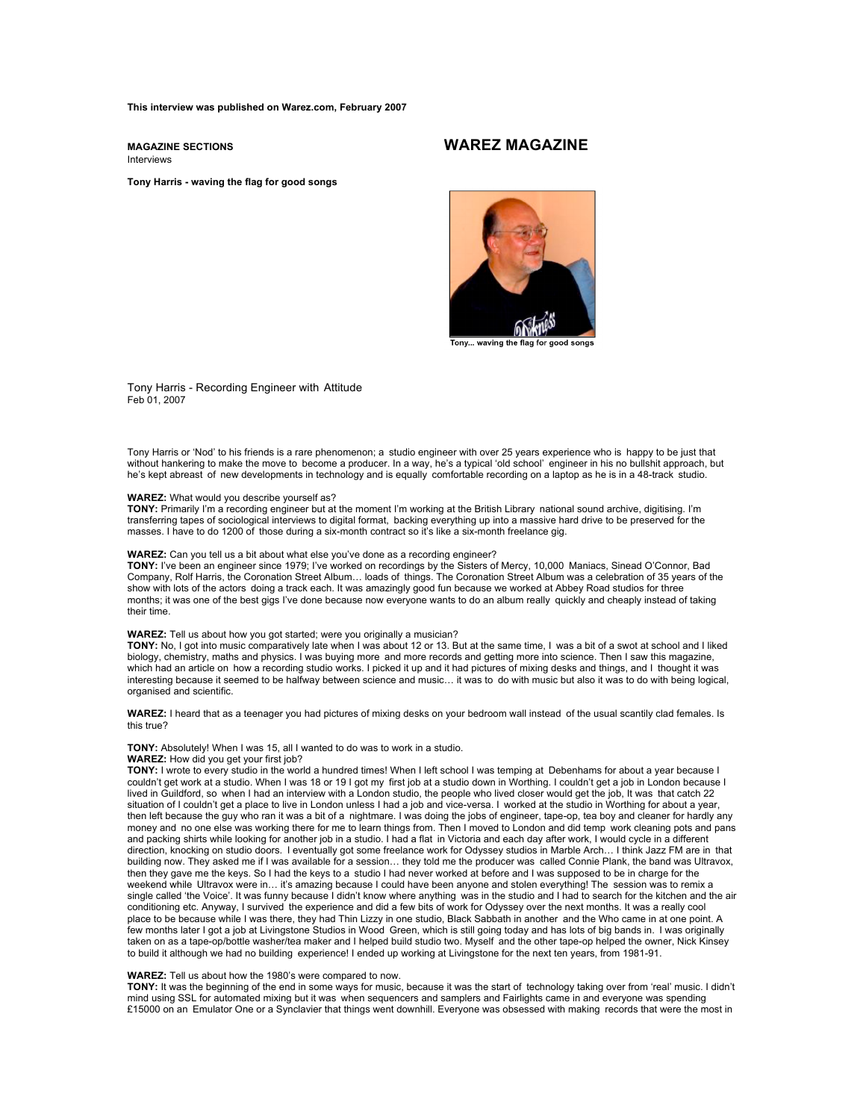**This interview was published on Warez.com, February 2007**

**MAGAZINE SECTIONS WAREZ MAGAZINE** Interviews

**Tony Harris - waving the flag for good songs**

Tony... waving the flag for good song:

Tony Harris - Recording Engineer with Attitude Feb 01, 2007

Tony Harris or 'Nod' to his friends is a rare phenomenon; a studio engineer with over 25 years experience who is happy to be just that without hankering to make the move to become a producer. In a way, he's a typical 'old school' engineer in his no bullshit approach, but he's kept abreast of new developments in technology and is equally comfortable recording on a laptop as he is in a 48-track studio.

#### **WAREZ:** What would you describe yourself as?

**TONY:** Primarily I'm a recording engineer but at the moment I'm working at the British Library national sound archive, digitising. I'm transferring tapes of sociological interviews to digital format, backing everything up into a massive hard drive to be preserved for the masses. I have to do 1200 of those during a six-month contract so it's like a six-month freelance gig.

#### **WAREZ:** Can you tell us a bit about what else you've done as a recording engineer?

**TONY:** I've been an engineer since 1979; I've worked on recordings by the Sisters of Mercy, 10,000 Maniacs, Sinead O'Connor, Bad Company, Rolf Harris, the Coronation Street Album… loads of things. The Coronation Street Album was a celebration of 35 years of the show with lots of the actors doing a track each. It was amazingly good fun because we worked at Abbey Road studios for three months; it was one of the best gigs I've done because now everyone wants to do an album really quickly and cheaply instead of taking their time.

#### **WAREZ:** Tell us about how you got started; were you originally a musician?

**TONY:** No, I got into music comparatively late when I was about 12 or 13. But at the same time, I was a bit of a swot at school and I liked biology, chemistry, maths and physics. I was buying more and more records and getting more into science. Then I saw this magazine, which had an article on how a recording studio works. I picked it up and it had pictures of mixing desks and things, and I thought it was interesting because it seemed to be halfway between science and music… it was to do with music but also it was to do with being logical, organised and scientific.

**WAREZ:** I heard that as a teenager you had pictures of mixing desks on your bedroom wall instead of the usual scantily clad females. Is this true?

# **TONY:** Absolutely! When I was 15, all I wanted to do was to work in a studio.

# **WAREZ:** How did you get your first job?

**TONY:** I wrote to every studio in the world a hundred times! When I left school I was temping at Debenhams for about a year because I couldn't get work at a studio. When I was 18 or 19 I got my first job at a studio down in Worthing. I couldn't get a job in London because I lived in Guildford, so when I had an interview with a London studio, the people who lived closer would get the job, It was that catch 22 situation of I couldn't get a place to live in London unless I had a job and vice-versa. I worked at the studio in Worthing for about a year, then left because the guy who ran it was a bit of a nightmare. I was doing the jobs of engineer, tape-op, tea boy and cleaner for hardly any money and no one else was working there for me to learn things from. Then I moved to London and did temp work cleaning pots and pans and packing shirts while looking for another job in a studio. I had a flat in Victoria and each day after work, I would cycle in a different direction, knocking on studio doors. I eventually got some freelance work for Odyssey studios in Marble Arch… I think Jazz FM are in that building now. They asked me if I was available for a session… they told me the producer was called Connie Plank, the band was Ultravox, then they gave me the keys. So I had the keys to a studio I had never worked at before and I was supposed to be in charge for the weekend while Ultravox were in… it's amazing because I could have been anyone and stolen everything! The session was to remix a single called 'the Voice'. It was funny because I didn't know where anything was in the studio and I had to search for the kitchen and the air conditioning etc. Anyway, I survived the experience and did a few bits of work for Odyssey over the next months. It was a really cool place to be because while I was there, they had Thin Lizzy in one studio, Black Sabbath in another and the Who came in at one point. A few months later I got a job at Livingstone Studios in Wood Green, which is still going today and has lots of big bands in. I was originally taken on as a tape-op/bottle washer/tea maker and I helped build studio two. Myself and the other tape-op helped the owner, Nick Kinsey to build it although we had no building experience! I ended up working at Livingstone for the next ten years, from 1981-91.

#### **WAREZ:** Tell us about how the 1980's were compared to now.

**TONY:** It was the beginning of the end in some ways for music, because it was the start of technology taking over from 'real' music. I didn't mind using SSL for automated mixing but it was when sequencers and samplers and Fairlights came in and everyone was spending £15000 on an Emulator One or a Synclavier that things went downhill. Everyone was obsessed with making records that were the most in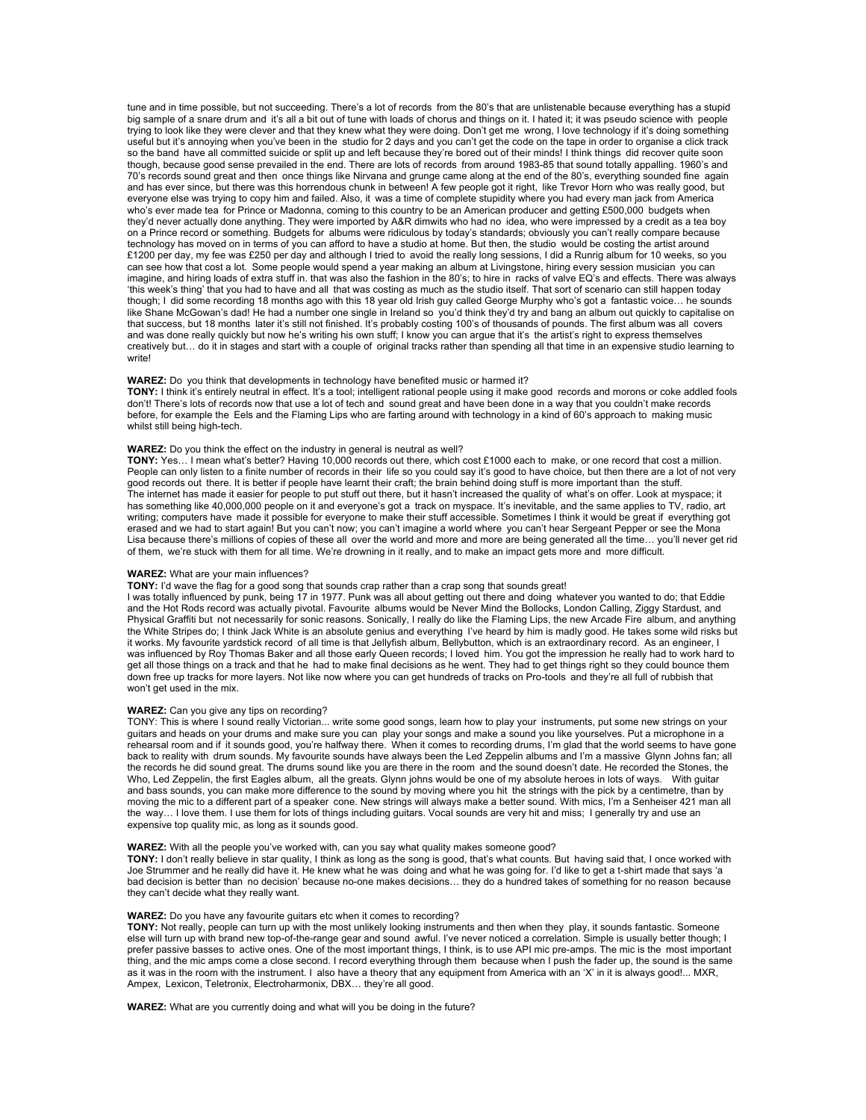tune and in time possible, but not succeeding. There's a lot of records from the 80's that are unlistenable because everything has a stupid big sample of a snare drum and it's all a bit out of tune with loads of chorus and things on it. I hated it; it was pseudo science with people trying to look like they were clever and that they knew what they were doing. Don't get me wrong, I love technology if it's doing something useful but it's annoying when you've been in the studio for 2 days and you can't get the code on the tape in order to organise a click track so the band have all committed suicide or split up and left because they're bored out of their minds! I think things did recover quite soon though, because good sense prevailed in the end. There are lots of records from around 1983-85 that sound totally appalling. 1960's and 70's records sound great and then once things like Nirvana and grunge came along at the end of the 80's, everything sounded fine again and has ever since, but there was this horrendous chunk in between! A few people got it right, like Trevor Horn who was really good, but everyone else was trying to copy him and failed. Also, it was a time of complete stupidity where you had every man jack from America who's ever made tea for Prince or Madonna, coming to this country to be an American producer and getting £500,000 budgets when they'd never actually done anything. They were imported by A&R dimwits who had no idea, who were impressed by a credit as a tea boy on a Prince record or something. Budgets for albums were ridiculous by today's standards; obviously you can't really compare because<br>technology has moved on in terms of you can afford to have a studio at home. But then, th £1200 per day, my fee was £250 per day and although I tried to avoid the really long sessions, I did a Runrig album for 10 weeks, so you can see how that cost a lot. Some people would spend a year making an album at Livingstone, hiring every session musician you can imagine, and hiring loads of extra stuff in. that was also the fashion in the 80's; to hire in racks of valve EQ's and effects. There was always 'this week's thing' that you had to have and all that was costing as much as the studio itself. That sort of scenario can still happen today though; I did some recording 18 months ago with this 18 year old Irish guy called George Murphy who's got a fantastic voice… he sounds like Shane McGowan's dad! He had a number one single in Ireland so you'd think they'd try and bang an album out quickly to capitalise on that success, but 18 months later it's still not finished. It's probably costing 100's of thousands of pounds. The first album was all covers and was done really quickly but now he's writing his own stuff; I know you can argue that it's the artist's right to express themselves creatively but… do it in stages and start with a couple of original tracks rather than spending all that time in an expensive studio learning to write!

# **WAREZ:** Do you think that developments in technology have benefited music or harmed it?

**TONY:** I think it's entirely neutral in effect. It's a tool; intelligent rational people using it make good records and morons or coke addled fools don't! There's lots of records now that use a lot of tech and sound great and have been done in a way that you couldn't make records before, for example the Eels and the Flaming Lips who are farting around with technology in a kind of 60's approach to making music whilst still being high-tech.

# **WAREZ:** Do you think the effect on the industry in general is neutral as well?

TONY: Yes… I mean what's better? Having 10,000 records out there, which cost £1000 each to make, or one record that cost a million.<br>People can only listen to a finite number of records in their life so you could say it's good records out there. It is better if people have learnt their craft; the brain behind doing stuff is more important than the stuff. The internet has made it easier for people to put stuff out there, but it hasn't increased the quality of what's on offer. Look at myspace; it has something like 40,000,000 people on it and everyone's got a track on myspace. It's inevitable, and the same applies to TV, radio, art writing; computers have made it possible for everyone to make their stuff accessible. Sometimes I think it would be great if everything got erased and we had to start again! But you can't now; you can't imagine a world where you can't hear Sergeant Pepper or see the Mona Lisa because there's millions of copies of these all over the world and more and more are being generated all the time… you'll never get rid of them, we're stuck with them for all time. We're drowning in it really, and to make an impact gets more and more difficult.

# **WAREZ:** What are your main influences?

**TONY:** I'd wave the flag for a good song that sounds crap rather than a crap song that sounds great!

I was totally influenced by punk, being 17 in 1977. Punk was all about getting out there and doing whatever you wanted to do; that Eddie and the Hot Rods record was actually pivotal. Favourite albums would be Never Mind the Bollocks, London Calling, Ziggy Stardust, and Physical Graffiti but not necessarily for sonic reasons. Sonically, I really do like the Flaming Lips, the new Arcade Fire album, and anything the White Stripes do; I think Jack White is an absolute genius and everything I've heard by him is madly good. He takes some wild risks but<br>it works. My favourite yardstick record of all time is that Jellyfish album, Bell was influenced by Roy Thomas Baker and all those early Queen records; I loved him. You got the impression he really had to work hard to get all those things on a track and that he had to make final decisions as he went. They had to get things right so they could bounce them down free up tracks for more layers. Not like now where you can get hundreds of tracks on Pro-tools and they're all full of rubbish that won't get used in the mix.

**WAREZ:** Can you give any tips on recording?<br>TONY: This is where I sound really Victorian... write some good songs, learn how to play your instruments, put some new strings on your guitars and heads on your drums and make sure you can play your songs and make a sound you like yourselves. Put a microphone in a rehearsal room and if it sounds good, you're halfway there. When it comes to recording drums, I'm glad that the world seems to have gone back to reality with drum sounds. My favourite sounds have always been the Led Zeppelin albums and I'm a massive Glynn Johns fan; all the records he did sound great. The drums sound like you are there in the room and the sound doesn't date. He recorded the Stones, the Who, Led Zeppelin, the first Eagles album, all the greats. Glynn johns would be one of my absolute heroes in lots of ways. With guitar and bass sounds, you can make more difference to the sound by moving where you hit the strings with the pick by a centimetre, than by moving the mic to a different part of a speaker cone. New strings will always make a better sound. With mics, I'm a Senheiser 421 man all the way… I love them. I use them for lots of things including guitars. Vocal sounds are very hit and miss; I generally try and use an expensive top quality mic, as long as it sounds good.

# **WAREZ:** With all the people you've worked with, can you say what quality makes someone good?

**TONY:** I don't really believe in star quality, I think as long as the song is good, that's what counts. But having said that, I once worked with Joe Strummer and he really did have it. He knew what he was doing and what he was going for. I'd like to get a t-shirt made that says 'a bad decision is better than no decision' because no-one makes decisions… they do a hundred takes of something for no reason because they can't decide what they really want.

# **WAREZ:** Do you have any favourite guitars etc when it comes to recording?

**TONY:** Not really, people can turn up with the most unlikely looking instruments and then when they play, it sounds fantastic. Someone<br>else will turn up with brand new top-of-the-range gear and sound awful. I've never n prefer passive basses to active ones. One of the most important things, I think, is to use API mic pre-amps. The mic is the most important thing, and the mic amps come a close second. I record everything through them because when I push the fader up, the sound is the same as it was in the room with the instrument. I also have a theory that any equipment from America with an 'X' in it is always good!... MXR, Ampex, Lexicon, Teletronix, Electroharmonix, DBX… they're all good.

**WAREZ:** What are you currently doing and what will you be doing in the future?